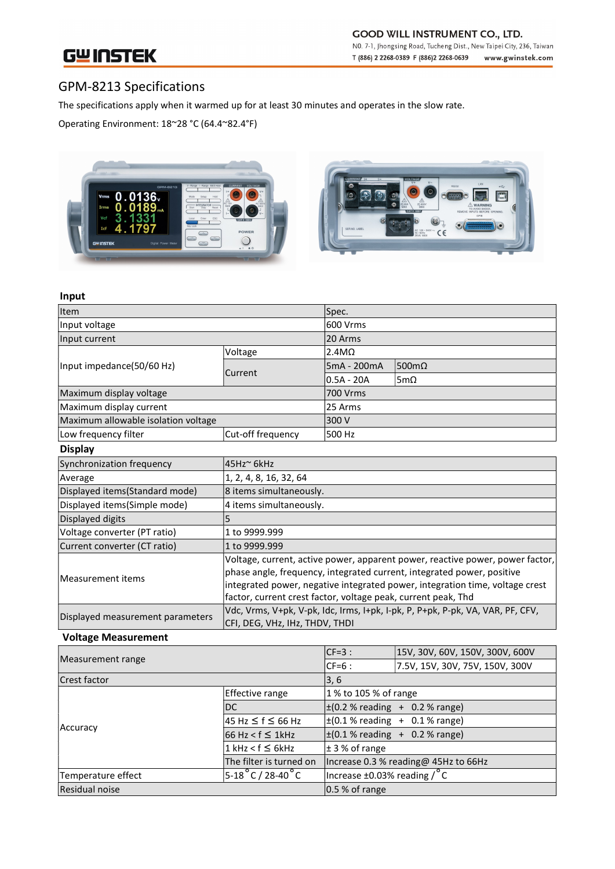# **GWINSTEK**

## GPM-8213 Specifications

The specifications apply when it warmed up for at least 30 minutes and operates in the slow rate.

Operating Environment: 18~28 °C (64.4~82.4°F)



#### Input

| Item                                                     |                                                                                                                                                                                                                                                                                                          | Spec.           |             |
|----------------------------------------------------------|----------------------------------------------------------------------------------------------------------------------------------------------------------------------------------------------------------------------------------------------------------------------------------------------------------|-----------------|-------------|
| Input voltage                                            |                                                                                                                                                                                                                                                                                                          | 600 Vrms        |             |
| Input current                                            |                                                                                                                                                                                                                                                                                                          | 20 Arms         |             |
| Input impedance(50/60 Hz)                                | Voltage                                                                                                                                                                                                                                                                                                  | $2.4M\Omega$    |             |
|                                                          | Current                                                                                                                                                                                                                                                                                                  | 5mA - 200mA     | 500mΩ       |
|                                                          |                                                                                                                                                                                                                                                                                                          | $0.5A - 20A$    | 5m $\Omega$ |
| Maximum display voltage                                  |                                                                                                                                                                                                                                                                                                          | <b>700 Vrms</b> |             |
| Maximum display current                                  |                                                                                                                                                                                                                                                                                                          | 25 Arms         |             |
| Maximum allowable isolation voltage                      |                                                                                                                                                                                                                                                                                                          | 300 V           |             |
| Low frequency filter                                     | Cut-off frequency                                                                                                                                                                                                                                                                                        | 500 Hz          |             |
| <b>Display</b>                                           |                                                                                                                                                                                                                                                                                                          |                 |             |
| Synchronization frequency                                | 45Hz~ 6kHz                                                                                                                                                                                                                                                                                               |                 |             |
| Average                                                  | 1, 2, 4, 8, 16, 32, 64                                                                                                                                                                                                                                                                                   |                 |             |
| Displayed items(Standard mode)                           | 8 items simultaneously.                                                                                                                                                                                                                                                                                  |                 |             |
| Displayed items(Simple mode)                             | 4 items simultaneously.                                                                                                                                                                                                                                                                                  |                 |             |
| Displayed digits                                         | 5                                                                                                                                                                                                                                                                                                        |                 |             |
| Voltage converter (PT ratio)                             | 1 to 9999.999                                                                                                                                                                                                                                                                                            |                 |             |
| Current converter (CT ratio)                             | 1 to 9999.999                                                                                                                                                                                                                                                                                            |                 |             |
| Measurement items                                        | Voltage, current, active power, apparent power, reactive power, power factor,<br>phase angle, frequency, integrated current, integrated power, positive<br>integrated power, negative integrated power, integration time, voltage crest<br>factor, current crest factor, voltage peak, current peak, Thd |                 |             |
| Displayed measurement parameters<br>$\sim$ $\sim$ $\sim$ | Vdc, Vrms, V+pk, V-pk, Idc, Irms, I+pk, I-pk, P, P+pk, P-pk, VA, VAR, PF, CFV,<br>CFI, DEG, VHz, IHz, THDV, THDI                                                                                                                                                                                         |                 |             |

### Voltage Measurement

| Measurement range  |                                     | $CF=3:$                                     | 15V, 30V, 60V, 150V, 300V, 600V      |
|--------------------|-------------------------------------|---------------------------------------------|--------------------------------------|
|                    |                                     | ICF=6 :                                     | 7.5V, 15V, 30V, 75V, 150V, 300V      |
| Crest factor       |                                     | 3, 6                                        |                                      |
|                    | <b>Effective range</b>              | 1 % to 105 % of range                       |                                      |
|                    | DC                                  |                                             | $\pm (0.2 %$ reading + 0.2 % range)  |
|                    | 45 Hz ≤ f ≤ 66 Hz                   | $\pm (0.1 %$ reading + 0.1% range)          |                                      |
| Accuracy           | $66$ Hz < f $\leq$ 1kHz             | $\pm (0.1 %$ reading + 0.2 % range)         |                                      |
|                    | $1$ kHz < f ≤ 6kHz                  | $\pm$ 3 % of range                          |                                      |
|                    | The filter is turned on             |                                             | Increase 0.3 % reading@ 45Hz to 66Hz |
| Temperature effect | $5-18\degree$ C / 28-40 $\degree$ C | Increase $\pm$ 0.03% reading / $^{\circ}$ C |                                      |
| Residual noise     |                                     | $0.5 %$ of range                            |                                      |